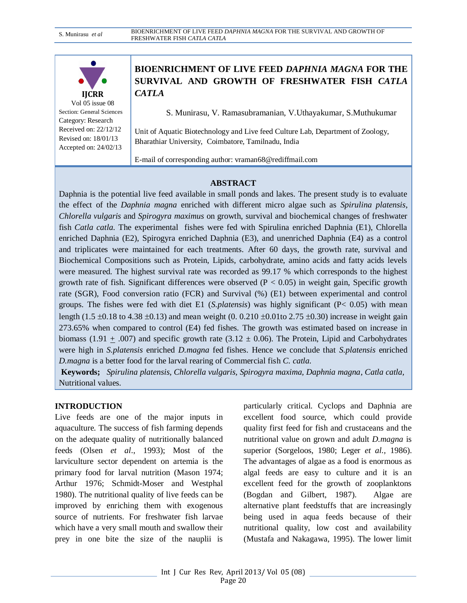

Vol 05 issue 08 Section: General Sciences Category: Research Received on: 22/12/12 Revised on: 18/01/13 Accepted on: 24/02/13

# **BIOENRICHMENT OF LIVE FEED** *DAPHNIA MAGNA* **FOR THE SURVIVAL AND GROWTH OF FRESHWATER FISH** *CATLA CATLA*

S. Munirasu, V. Ramasubramanian, V.Uthayakumar, S.Muthukumar

Unit of Aquatic Biotechnology and Live feed Culture Lab, Department of Zoology, Bharathiar University, Coimbatore, Tamilnadu, India

E-mail of corresponding author: vraman68@rediffmail.com

## **ABSTRACT**

Daphnia is the potential live feed available in small ponds and lakes. The present study is to evaluate the effect of the *Daphnia magna* enriched with different micro algae such as *Spirulina platensis*, *Chlorella vulgaris* and *Spirogyra maximus* on growth, survival and biochemical changes of freshwater fish *Catla catla.* The experimental fishes were fed with Spirulina enriched Daphnia (E1), Chlorella enriched Daphnia (E2), Spirogyra enriched Daphnia (E3), and unenriched Daphnia (E4) as a control and triplicates were maintained for each treatments. After 60 days, the growth rate, survival and Biochemical Compositions such as Protein, Lipids, carbohydrate, amino acids and fatty acids levels were measured. The highest survival rate was recorded as 99.17 % which corresponds to the highest growth rate of fish. Significant differences were observed  $(P < 0.05)$  in weight gain, Specific growth rate (SGR), Food conversion ratio (FCR) and Survival (%) (E1) between experimental and control groups. The fishes were fed with diet E1 (*S.platensis*) was highly significant (P< 0.05) with mean length (1.5  $\pm$ 0.18 to 4.38  $\pm$ 0.13) and mean weight (0. 0.210  $\pm$ 0.01to 2.75  $\pm$ 0.30) increase in weight gain 273.65% when compared to control (E4) fed fishes. The growth was estimated based on increase in biomass (1.91  $\pm$  .007) and specific growth rate (3.12  $\pm$  0.06). The Protein, Lipid and Carbohydrates were high in *S.platensis* enriched *D.magna* fed fishes. Hence we conclude that *S.platensis* enriched *D.magna* is a better food for the larval rearing of Commercial fish *C. catla.* 

**Keywords;** *Spirulina platensis, Chlorella vulgaris, Spirogyra maxima, Daphnia magna*, *Catla catla,* Nutritional values.

# **INTRODUCTION**

Live feeds are one of the major inputs in aquaculture. The success of fish farming depends on the adequate quality of nutritionally balanced feeds (Olsen *et al*., 1993); Most of the larviculture sector dependent on artemia is the primary food for larval nutrition (Mason 1974; Arthur 1976; Schmidt-Moser and Westphal 1980). The nutritional quality of live feeds can be improved by enriching them with exogenous source of nutrients. For freshwater fish larvae which have a very small mouth and swallow their prey in one bite the size of the nauplii is

particularly critical. Cyclops and Daphnia are excellent food source, which could provide quality first feed for fish and crustaceans and the nutritional value on grown and adult *D.magna* is superior (Sorgeloos, 1980; Leger *et al.,* 1986). The advantages of algae as a food is enormous as algal feeds are easy to culture and it is an excellent feed for the growth of zooplanktons (Bogdan and Gilbert, 1987). Algae are alternative plant feedstuffs that are increasingly being used in aqua feeds because of their nutritional quality, low cost and availability (Mustafa and Nakagawa, 1995). The lower limit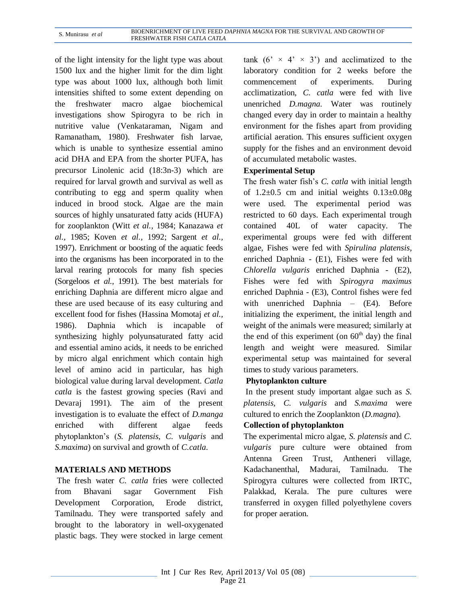of the light intensity for the light type was about 1500 lux and the higher limit for the dim light type was about 1000 lux, although both limit intensities shifted to some extent depending on the freshwater macro algae biochemical investigations show Spirogyra to be rich in nutritive value (Venkataraman, Nigam and Ramanatham, 1980). Freshwater fish larvae, which is unable to synthesize essential amino acid DHA and EPA from the shorter PUFA, has precursor Linolenic acid (18:3n-3) which are required for larval growth and survival as well as contributing to egg and sperm quality when induced in brood stock. Algae are the main sources of highly unsaturated fatty acids (HUFA) for zooplankton (Witt *et al.,* 1984; Kanazawa *et al.,* 1985; Koven *et al.,* 1992; Sargent *et al.,* 1997). Enrichment or boosting of the aquatic feeds into the organisms has been incorporated in to the larval rearing protocols for many fish species (Sorgeloos *et al.*, 1991). The best materials for enriching Daphnia are different micro algae and these are used because of its easy culturing and excellent food for fishes (Hassina Momotaj *et al.,* 1986). Daphnia which is incapable of synthesizing highly polyunsaturated fatty acid and essential amino acids, it needs to be enriched by micro algal enrichment which contain high level of amino acid in particular, has high biological value during larval development. *Catla catla* is the fastest growing species (Ravi and Devaraj 1991). The aim of the present investigation is to evaluate the effect of *D.manga*  enriched with different algae feeds phytoplankton's (*S. platensis, C. vulgaris* and *S.maxima*) on survival and growth of *C.catla*.

# **MATERIALS AND METHODS**

The fresh water *C. catla* fries were collected from Bhavani sagar Government Fish Development Corporation, Erode district, Tamilnadu. They were transported safely and brought to the laboratory in well-oxygenated plastic bags. They were stocked in large cement

tank  $(6' \times 4' \times 3')$  and acclimatized to the laboratory condition for 2 weeks before the commencement of experiments. During acclimatization, *C. catla* were fed with live unenriched *D.magna.* Water was routinely changed every day in order to maintain a healthy environment for the fishes apart from providing artificial aeration. This ensures sufficient oxygen supply for the fishes and an environment devoid of accumulated metabolic wastes.

#### **Experimental Setup**

The fresh water fish's *C. catla* with initial length of  $1.2\pm0.5$  cm and initial weights  $0.13\pm0.08$ g were used. The experimental period was restricted to 60 days. Each experimental trough contained 40L of water capacity. The experimental groups were fed with different algae, Fishes were fed with *Spirulina platensis*, enriched Daphnia - (E1), Fishes were fed with *Chlorella vulgaris* enriched Daphnia - (E2), Fishes were fed with *Spirogyra maximus* enriched Daphnia - (E3), Control fishes were fed with unenriched Daphnia – (E4). Before initializing the experiment, the initial length and weight of the animals were measured; similarly at the end of this experiment (on  $60<sup>th</sup>$  day) the final length and weight were measured. Similar experimental setup was maintained for several times to study various parameters.

#### **Phytoplankton culture**

In the present study important algae such as *S. platensis, C. vulgaris* and *S.maxima* were cultured to enrich the Zooplankton (*D.magna*).

#### **Collection of phytoplankton**

The experimental micro algae, *S. platensis* and *C. vulgaris* pure culture were obtained from Antenna Green Trust, Antheneri village, Kadachanenthal, Madurai, Tamilnadu. The Spirogyra cultures were collected from IRTC, Palakkad, Kerala. The pure cultures were transferred in oxygen filled polyethylene covers for proper aeration.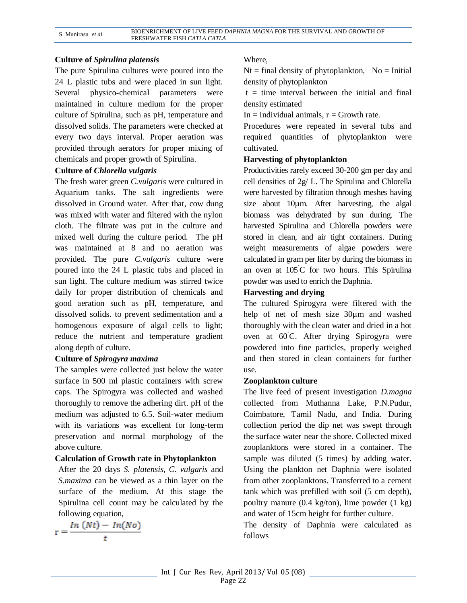#### **Culture of** *Spirulina platensis*

The pure Spirulina cultures were poured into the 24 L plastic tubs and were placed in sun light. Several physico-chemical parameters were maintained in culture medium for the proper culture of Spirulina, such as pH, temperature and dissolved solids. The parameters were checked at every two days interval. Proper aeration was provided through aerators for proper mixing of chemicals and proper growth of Spirulina.

#### **Culture of** *Chlorella vulgaris*

The fresh water green *C.vulgaris* were cultured in Aquarium tanks. The salt ingredients were dissolved in Ground water. After that, cow dung was mixed with water and filtered with the nylon cloth. The filtrate was put in the culture and mixed well during the culture period. The pH was maintained at 8 and no aeration was provided. The pure *C.vulgaris* culture were poured into the 24 L plastic tubs and placed in sun light. The culture medium was stirred twice daily for proper distribution of chemicals and good aeration such as pH, temperature, and dissolved solids. to prevent sedimentation and a homogenous exposure of algal cells to light; reduce the nutrient and temperature gradient along depth of culture.

#### **Culture of** *Spirogyra maxima*

The samples were collected just below the water surface in 500 ml plastic containers with screw caps. The Spirogyra was collected and washed thoroughly to remove the adhering dirt. pH of the medium was adjusted to 6.5. Soil-water medium with its variations was excellent for long-term preservation and normal morphology of the above culture.

#### **Calculation of Growth rate in Phytoplankton**

After the 20 days *S. platensis, C. vulgaris* and *S.maxima* can be viewed as a thin layer on the surface of the medium. At this stage the Spirulina cell count may be calculated by the following equation,

 $r = \frac{ln (Nt) - ln(No)}{t}$ 

#### Where,

 $Nt = final density of phytoplankton, No = Initial$ density of phytoplankton

 $t =$  time interval between the initial and final density estimated

In  $=$  Individual animals,  $r =$  Growth rate.

Procedures were repeated in several tubs and required quantities of phytoplankton were cultivated.

#### **Harvesting of phytoplankton**

Productivities rarely exceed 30-200 gm per day and cell densities of 2g/ L. The Spirulina and Chlorella were harvested by filtration through meshes having size about 10µm. After harvesting, the algal biomass was dehydrated by sun during. The harvested Spirulina and Chlorella powders were stored in clean, and air tight containers. During weight measurements of algae powders were calculated in gram per liter by during the biomass in an oven at  $105^{\circ}$ C for two hours. This Spirulina powder was used to enrich the Daphnia.

#### **Harvesting and drying**

The cultured Spirogyra were filtered with the help of net of mesh size 30µm and washed thoroughly with the clean water and dried in a hot oven at 60˚C. After drying Spirogyra were powdered into fine particles, properly weighed and then stored in clean containers for further use.

#### **Zooplankton culture**

The live feed of present investigation *D.magna* collected from Muthanna Lake, P.N.Pudur, Coimbatore, Tamil Nadu, and India. During collection period the dip net was swept through the surface water near the shore. Collected mixed zooplanktons were stored in a container. The sample was diluted (5 times) by adding water. Using the plankton net Daphnia were isolated from other zooplanktons. Transferred to a cement tank which was prefilled with soil (5 cm depth), poultry manure (0.4 kg/ton), lime powder (1 kg) and water of 15cm height for further culture.

The density of Daphnia were calculated as follows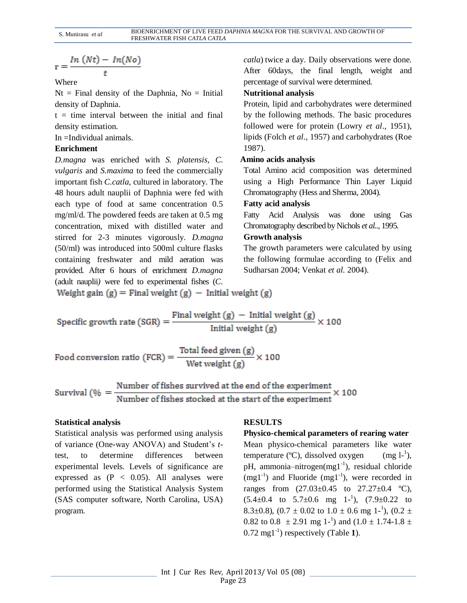$$
r = \frac{ln(Nt) - ln(No)}{t}
$$

Where

 $Nt = Final$  density of the Daphnia,  $No = Initial$ density of Daphnia.

 $t =$  time interval between the initial and final density estimation.

In =Individual animals.

## **Enrichment**

*D.magna* was enriched with *S. platensis, C. vulgaris* and *S.maxima* to feed the commercially important fish *C.catla,* cultured in laboratory. The 48 hours adult nauplii of Daphnia were fed with each type of food at same concentration 0.5 mg/ml/d. The powdered feeds are taken at 0.5 mg concentration, mixed with distilled water and stirred for 2-3 minutes vigorously. *D.magna*  (50/ml) was introduced into 500ml culture flasks containing freshwater and mild aeration was provided. After 6 hours of enrichment *D.magna*  (adult nauplii*)* were fed to experimental fishes (*C.* 

*catla*) twice a day. Daily observations were done. After 60days, the final length, weight and percentage of survival were determined.

#### **Nutritional analysis**

Protein, lipid and carbohydrates were determined by the following methods. The basic procedures followed were for protein (Lowry *et al*., 1951), lipids (Folch *et al*., 1957) and carbohydrates (Roe 1987).

## **Amino acids analysis**

Total Amino acid composition was determined using a High Performance Thin Layer Liquid Chromatography (Hess and Sherma, 2004).

## **Fatty acid analysis**

Fatty Acid Analysis was done using Gas Chromatography described by Nichols *et al..,* 1995.

# **Growth analysis**

The growth parameters were calculated by using the following formulae according to (Felix and Sudharsan 2004; Venkat *et al.* 2004).

Weight gain  $(g)$  = Final weight  $(g)$  - Initial weight  $(g)$ 

Specific growth rate (SGR) = 
$$
\frac{\text{Final weight (g)} - \text{Initial weight (g)}}{\text{Initial weight (g)}} \times 100
$$

Sturvival (
$$
\% = \frac{\text{Number of fishes survived at the end of the experiment}}{\text{Number of fishes stored at the start of the experiment}} \times 100
$$

#### **Statistical analysis**

Statistical analysis was performed using analysis of variance (One-way ANOVA) and Student's *t*test, to determine differences between experimental levels. Levels of significance are expressed as  $(P < 0.05)$ . All analyses were performed using the Statistical Analysis System (SAS computer software, North Carolina, USA) program.

# **RESULTS**

# **Physico-chemical parameters of rearing water**

Mean physico-chemical parameters like water temperature  $(C)$ , dissolved oxygen  $\left( \frac{1}{2} \right)$ pH, ammonia-nitrogen(mg1<sup>-1</sup>), residual chloride  $(mgl<sup>-1</sup>)$  and Fluoride  $(mgl<sup>-1</sup>)$ , were recorded in ranges from  $(27.03 \pm 0.45)$  to  $27.27 \pm 0.4$  °C),  $(5.4\pm0.4 \text{ to } 5.7\pm0.6 \text{ mg } 1^{-1})$ ,  $(7.9\pm0.22 \text{ to } 1)$ 8.3±0.8),  $(0.7 \pm 0.02 \text{ to } 1.0 \pm 0.6 \text{ mg } 1^{-1})$ ,  $(0.2 \pm 1.0 \pm 0.6 \text{ mg } 1^{-1})$ 0.82 to 0.8  $\pm$  2.91 mg 1<sup>-1</sup>) and (1.0  $\pm$  1.74-1.8  $\pm$ 0.72 mg1-1 ) respectively (Table **1**).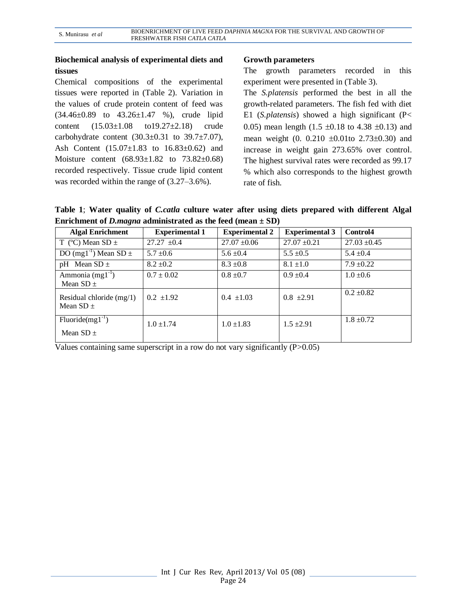## **Biochemical analysis of experimental diets and tissues**

Chemical compositions of the experimental tissues were reported in (Table 2). Variation in the values of crude protein content of feed was  $(34.46\pm0.89)$  to  $43.26\pm1.47$  %), crude lipid content (15.03±1.08 to19.27±2.18) crude carbohydrate content  $(30.3\pm0.31)$  to  $39.7\pm7.07$ ), Ash Content (15.07±1.83 to 16.83±0.62) and Moisture content (68.93±1.82 to 73.82±0.68) recorded respectively. Tissue crude lipid content was recorded within the range of (3.27–3.6%).

## **Growth parameters**

The growth parameters recorded in this experiment were presented in (Table 3).

The *S.platensis* performed the best in all the growth-related parameters. The fish fed with diet E1 (*S.platensis*) showed a high significant (P< 0.05) mean length (1.5  $\pm$ 0.18 to 4.38  $\pm$ 0.13) and mean weight  $(0. 0.210 \pm 0.01$  to  $2.73\pm 0.30)$  and increase in weight gain 273.65% over control. The highest survival rates were recorded as 99.17 % which also corresponds to the highest growth rate of fish.

**Table 1**; **Water quality of** *C.catla* **culture water after using diets prepared with different Algal Enrichment of** *D.magna* **administrated as the feed (mean ± SD)**

| <b>Algal Enrichment</b>                     | <b>Experimental 1</b> | <b>Experimental 2</b> | <b>Experimental 3</b> | Control <sub>4</sub> |
|---------------------------------------------|-----------------------|-----------------------|-----------------------|----------------------|
| T (°C) Mean SD $\pm$                        | $27.27 \pm 0.4$       | $27.07 \pm 0.06$      | $27.07 \pm 0.21$      | $27.03 \pm 0.45$     |
| DO (mg1 <sup>-1</sup> ) Mean SD $\pm$       | $5.7 \pm 0.6$         | $5.6 \pm 0.4$         | $5.5 \pm 0.5$         | $5.4 \pm 0.4$        |
| pH Mean $SD \pm$                            | $8.2 \pm 0.2$         | $8.3 \pm 0.8$         | $8.1 \pm 1.0$         | $7.9 \pm 0.22$       |
| Ammonia $(mg1^{-1})$<br>Mean $SD \pm$       | $0.7 \pm 0.02$        | $0.8 \pm 0.7$         | $0.9 \pm 0.4$         | $1.0 \pm 0.6$        |
| Residual chloride $(mg/1)$<br>Mean $SD \pm$ | $0.2 \pm 1.92$        | $0.4 \pm 1.03$        | $0.8 \pm 2.91$        | $0.2 \pm 0.82$       |
| $Fluoride(mgl^{-1})$<br>Mean $SD \pm$       | $1.0 \pm 1.74$        | $1.0 \pm 1.83$        | $1.5 \pm 2.91$        | $1.8 \pm 0.72$       |

Values containing same superscript in a row do not vary significantly (P>0.05)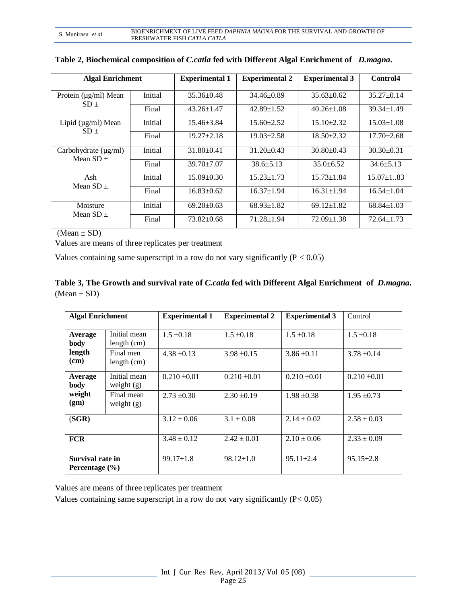| <b>Algal Enrichment</b>                    |         | <b>Experimental 1</b> | <b>Experimental 2</b> | <b>Experimental 3</b> | Control4         |
|--------------------------------------------|---------|-----------------------|-----------------------|-----------------------|------------------|
| Protein (µg/ml) Mean                       | Initial | $35.36 \pm 0.48$      | $34.46\pm0.89$        | $35.63 \pm 0.62$      | $35.27 \pm 0.14$ |
| $SD +$                                     | Final   | $43.26 \pm 1.47$      | $42.89 \pm 1.52$      | $40.26 \pm 1.08$      | $39.34 \pm 1.49$ |
| Lipid $(\mu g/ml)$ Mean<br>$SD+$           | Initial | $15.46 \pm 3.84$      | $15.60 \pm 2.52$      | $15.10 \pm 2.32$      | $15.03 \pm 1.08$ |
|                                            | Final   | $19.27 \pm 2.18$      | $19.03 \pm 2.58$      | $18.50 + 2.32$        | $17.70 \pm 2.68$ |
| Carbohydrate $(\mu g/ml)$<br>Mean $SD \pm$ | Initial | $31.80 \pm 0.41$      | $31.20 \pm 0.43$      | $30.80 + 0.43$        | $30.30 \pm 0.31$ |
|                                            | Final   | $39.70 \pm 7.07$      | $38.6 + 5.13$         | $35.0 + 6.52$         | $34.6 \pm 5.13$  |
| Ash<br>Mean $SD \pm$                       | Initial | $15.09 \pm 0.30$      | $15.23 \pm 1.73$      | $15.73 \pm 1.84$      | $15.07 \pm 1.83$ |
|                                            | Final   | $16.83 \pm 0.62$      | $16.37 \pm 1.94$      | $16.31 \pm 1.94$      | $16.54 \pm 1.04$ |
| Moisture<br>Mean $SD \pm$                  | Initial | $69.20 \pm 0.63$      | $68.93 \pm 1.82$      | $69.12 \pm 1.82$      | $68.84 \pm 1.03$ |
|                                            | Final   | $73.82 \pm 0.68$      | 71.28±1.94            | $72.09 \pm 1.38$      | $72.64 \pm 1.73$ |

| Table 2, Biochemical composition of <i>C.catla</i> fed with Different Algal Enrichment of <i>D.magna</i> . |  |  |
|------------------------------------------------------------------------------------------------------------|--|--|
|                                                                                                            |  |  |

 $(Mean \pm SD)$ 

Values are means of three replicates per treatment

Values containing same superscript in a row do not vary significantly  $(P < 0.05)$ 

| Table 3, The Growth and survival rate of <i>C.catla</i> fed with Different Algal Enrichment of <i>D.magna</i> . |  |
|-----------------------------------------------------------------------------------------------------------------|--|
| $(Mean \pm SD)$                                                                                                 |  |

| <b>Algal Enrichment</b>                |                               | <b>Experimental 1</b> | <b>Experimental 2</b> | <b>Experimental 3</b> | Control          |
|----------------------------------------|-------------------------------|-----------------------|-----------------------|-----------------------|------------------|
| Average<br>body                        | Initial mean<br>length $(cm)$ | $1.5 \pm 0.18$        | $1.5 \pm 0.18$        | $1.5 \pm 0.18$        | $1.5 \pm 0.18$   |
| length<br>(cm)                         | Final men<br>length $(cm)$    | $4.38 \pm 0.13$       | $3.98 \pm 0.15$       | $3.86 \pm 0.11$       | $3.78 \pm 0.14$  |
| Average<br>body                        | Initial mean<br>weight $(g)$  | $0.210 \pm 0.01$      | $0.210 \pm 0.01$      | $0.210 \pm 0.01$      | $0.210 \pm 0.01$ |
| weight<br>(gm)                         | Final mean<br>weight $(g)$    | $2.73 \pm 0.30$       | $2.30 \pm 0.19$       | $1.98 \pm 0.38$       | $1.95 \pm 0.73$  |
| (SGR)                                  |                               | $3.12 \pm 0.06$       | $3.1 \pm 0.08$        | $2.14 \pm 0.02$       | $2.58 \pm 0.03$  |
| <b>FCR</b>                             |                               | $3.48 \pm 0.12$       | $2.42 \pm 0.01$       | $2.10 \pm 0.06$       | $2.33 \pm 0.09$  |
| Survival rate in<br>Percentage $(\% )$ |                               | $99.17 \pm 1.8$       | $98.12 \pm 1.0$       | $95.11 \pm 2.4$       | $95.15 \pm 2.8$  |

Values are means of three replicates per treatment

Values containing same superscript in a row do not vary significantly (P< 0.05)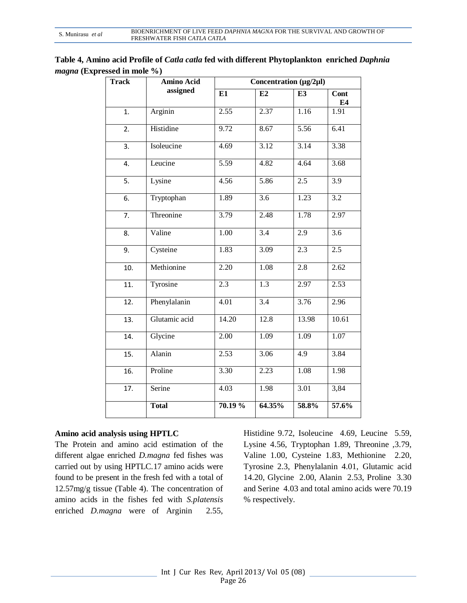| Table 4, Amino acid Profile of <i>Catla catla</i> fed with different Phytoplankton enriched <i>Daphnia</i> |  |
|------------------------------------------------------------------------------------------------------------|--|
| <i>magna</i> (Expressed in mole %)                                                                         |  |

| <b>Track</b>      | <b>Amino Acid</b> | Concentration $(\mu g/2\mu l)$ |                  |                   |                  |  |
|-------------------|-------------------|--------------------------------|------------------|-------------------|------------------|--|
|                   | assigned          | E1                             | E2               | E3                | Cont<br>E4       |  |
| 1.                | Arginin           | 2.55                           | 2.37             | 1.16              | 1.91             |  |
| $\overline{2}$ .  | Histidine         | 9.72                           | 8.67             | 5.56              | 6.41             |  |
| 3.                | Isoleucine        | 4.69                           | 3.12             | 3.14              | 3.38             |  |
| 4.                | Leucine           | 5.59                           | 4.82             | 4.64              | 3.68             |  |
| $\overline{5}$ .  | Lysine            | 4.56                           | 5.86             | 2.5               | 3.9              |  |
| 6.                | Tryptophan        | 1.89                           | $\overline{3.6}$ | 1.23              | $\overline{3.2}$ |  |
| 7.                | Threonine         | 3.79                           | 2.48             | 1.78              | 2.97             |  |
| 8.                | Valine            | 1.00                           | $\overline{3.4}$ | 2.9               | $\overline{3.6}$ |  |
| 9.                | Cysteine          | 1.83                           | 3.09             | 2.3               | 2.5              |  |
| 10.               | Methionine        | 2.20                           | 1.08             | $\overline{2.8}$  | 2.62             |  |
| 11.               | Tyrosine          | 2.3                            | 1.3              | 2.97              | 2.53             |  |
| $\overline{12}$ . | Phenylalanin      | 4.01                           | 3.4              | 3.76              | 2.96             |  |
| 13.               | Glutamic acid     | 14.20                          | 12.8             | 13.98             | 10.61            |  |
| 14.               | Glycine           | 2.00                           | 1.09             | 1.09              | 1.07             |  |
| 15.               | Alanin            | 2.53                           | 3.06             | 4.9               | 3.84             |  |
| 16.               | Proline           | 3.30                           | 2.23             | $\overline{1.08}$ | 1.98             |  |
| 17.               | Serine            | 4.03                           | 1.98             | 3.01              | 3,84             |  |
|                   | <b>Total</b>      | 70.19 %                        | 64.35%           | 58.8%             | 57.6%            |  |

#### **Amino acid analysis using HPTLC**

The Protein and amino acid estimation of the different algae enriched *D.magna* fed fishes was carried out by using HPTLC*.*17 amino acids were found to be present in the fresh fed with a total of 12.57mg/g tissue (Table 4). The concentration of amino acids in the fishes fed with *S.platensis* enriched *D.magna* were of Arginin 2.55, Histidine 9.72, Isoleucine 4.69, Leucine 5.59, Lysine 4.56, Tryptophan 1.89, Threonine ,3.79, Valine 1.00, Cysteine 1.83, Methionine 2.20, Tyrosine 2.3, Phenylalanin 4.01, Glutamic acid 14.20, Glycine 2.00, Alanin 2.53, Proline 3.30 and Serine 4.03 and total amino acids were 70.19 % respectively.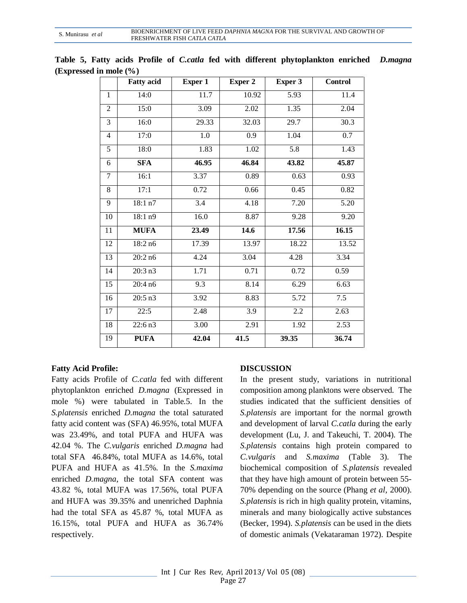|                | <b>Fatty acid</b> | Exper 1          | Exper 2 | Exper 3          | <b>Control</b> |
|----------------|-------------------|------------------|---------|------------------|----------------|
| $\mathbf{1}$   | 14:0              | 11.7             | 10.92   | 5.93             | 11.4           |
| $\overline{2}$ | 15:0              | 3.09             | 2.02    | 1.35             | 2.04           |
| 3              | 16:0              | 29.33            | 32.03   | 29.7             | 30.3           |
| $\overline{4}$ | 17:0              | 1.0              | 0.9     | 1.04             | 0.7            |
| $\overline{5}$ | 18:0              | 1.83             | 1.02    | $\overline{5.8}$ | 1.43           |
| 6              | <b>SFA</b>        | 46.95            | 46.84   | 43.82            | 45.87          |
| $\tau$         | 16:1              | 3.37             | 0.89    | 0.63             | 0.93           |
| 8              | 17:1              | 0.72             | 0.66    | 0.45             | 0.82           |
| 9              | 18:1 n7           | $\overline{3.4}$ | 4.18    | 7.20             | 5.20           |
| 10             | 18:1 n9           | 16.0             | 8.87    | 9.28             | 9.20           |
| 11             | <b>MUFA</b>       | 23.49            | 14.6    | 17.56            | 16.15          |
| 12             | 18:2 n6           | 17.39            | 13.97   | 18.22            | 13.52          |
| 13             | 20:2n6            | 4.24             | 3.04    | 4.28             | 3.34           |
| 14             | 20:3 n3           | 1.71             | 0.71    | 0.72             | 0.59           |
| 15             | 20:4n6            | $\overline{9.3}$ | 8.14    | 6.29             | 6.63           |
| 16             | 20:5 n3           | 3.92             | 8.83    | 5.72             | 7.5            |
| 17             | 22:5              | 2.48             | 3.9     | 2.2              | 2.63           |
| 18             | 22:6 n3           | 3.00             | 2.91    | 1.92             | 2.53           |
| 19             | <b>PUFA</b>       | 42.04            | 41.5    | 39.35            | 36.74          |

**Table 5, Fatty acids Profile of** *C.catla* **fed with different phytoplankton enriched** *D.magna*  **(Expressed in mole (%)**

# **Fatty Acid Profile:**

Fatty acids Profile of *C.catla* fed with different phytoplankton enriched *D.magna* (Expressed in mole %) were tabulated in Table.5. In the *S.platensis* enriched *D.magna* the total saturated fatty acid content was (SFA) 46.95%, total MUFA was 23.49%, and total PUFA and HUFA was 42.04 %. The *C.vulgaris* enriched *D.magna* had total SFA 46.84%, total MUFA as 14.6%, total PUFA and HUFA as 41.5%. In the *S.maxima*  enriched *D.magna*, the total SFA content was 43.82 %, total MUFA was 17.56%, total PUFA and HUFA was 39.35% and unenriched Daphnia had the total SFA as 45.87 %, total MUFA as 16.15%, total PUFA and HUFA as 36.74% respectively.

# **DISCUSSION**

In the present study, variations in nutritional composition among planktons were observed. The studies indicated that the sufficient densities of *S.platensis* are important for the normal growth and development of larval *C.catla* during the early development (Lu, J. and Takeuchi, T. 2004). The *S.platensis* contains high protein compared to *C.vulgaris* and *S.maxima* (Table 3). The biochemical composition of *S.platensis* revealed that they have high amount of protein between 55- 70% depending on the source (Phang *et al,* 2000). *S.platensis* is rich in high quality protein, vitamins, minerals and many biologically active substances (Becker, 1994). *S.platensis* can be used in the diets of domestic animals (Vekataraman 1972). Despite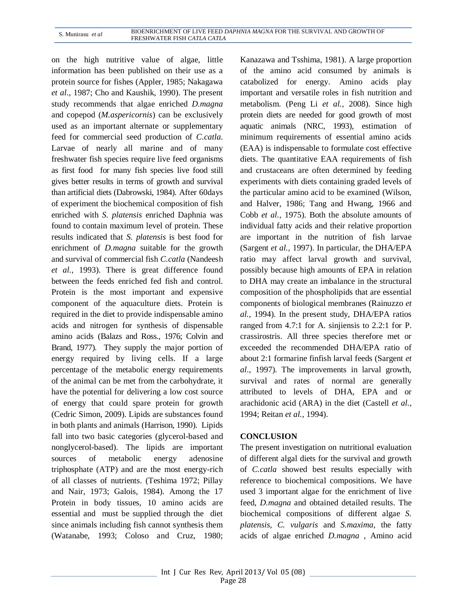on the high nutritive value of algae, little information has been published on their use as a protein source for fishes (Appler, 1985; Nakagawa *et al*., 1987; Cho and Kaushik, 1990). The present study recommends that algae enriched *D.magna*  and copepod (*M.aspericornis*) can be exclusively used as an important alternate or supplementary feed for commercial seed production of *C.catla*. Larvae of nearly all marine and of many freshwater fish species require live feed organisms as first food for many fish species live food still gives better results in terms of growth and survival than artificial diets (Dabrowski, 1984). After 60days of experiment the biochemical composition of fish enriched with *S. platensis* enriched Daphnia was found to contain maximum level of protein. These results indicated that *S. platensis* is best food for enrichment of *D.magna* suitable for the growth and survival of commercial fish *C.catla* (Nandeesh *et al.,* 1993). There is great difference found between the feeds enriched fed fish and control. Protein is the most important and expensive component of the aquaculture diets. Protein is required in the diet to provide indispensable amino acids and nitrogen for synthesis of dispensable amino acids (Balazs and Ross., 1976; Colvin and Brand, 1977). They supply the major portion of energy required by living cells. If a large percentage of the metabolic energy requirements of the animal can be met from the carbohydrate, it have the potential for delivering a low cost source of energy that could spare protein for growth (Cedric Simon, 2009). Lipids are substances found in both plants and animals (Harrison, 1990). Lipids fall into two basic categories (glycerol-based and nonglycerol-based). The lipids are important sources of metabolic energy adenosine triphosphate (ATP) and are the most energy-rich of all classes of nutrients. (Teshima 1972; Pillay and Nair, 1973; Galois, 1984). Among the 17 Protein in body tissues, 10 amino acids are essential and must be supplied through the diet since animals including fish cannot synthesis them (Watanabe, 1993; Coloso and Cruz, 1980; Kanazawa and Tsshima, 1981). A large proportion of the amino acid consumed by animals is catabolized for energy. Amino acids play important and versatile roles in fish nutrition and metabolism. (Peng Li *et al.,* 2008). Since high protein diets are needed for good growth of most aquatic animals (NRC, 1993), estimation of minimum requirements of essential amino acids (EAA) is indispensable to formulate cost effective diets. The quantitative EAA requirements of fish and crustaceans are often determined by feeding experiments with diets containing graded levels of the particular amino acid to be examined (Wilson, and Halver, 1986; Tang and Hwang, 1966 and Cobb *et al.,* 1975). Both the absolute amounts of individual fatty acids and their relative proportion are important in the nutrition of fish larvae (Sargent *et al.,* 1997). In particular, the DHA/EPA ratio may affect larval growth and survival, possibly because high amounts of EPA in relation to DHA may create an imbalance in the structural composition of the phospholipids that are essential components of biological membranes (Rainuzzo *et al.,* 1994). In the present study, DHA/EPA ratios ranged from 4.7:1 for A. sinjiensis to 2.2:1 for P. crassirostris. All three species therefore met or exceeded the recommended DHA/EPA ratio of about 2:1 formarine finfish larval feeds (Sargent *et al*., 1997). The improvements in larval growth, survival and rates of normal are generally attributed to levels of DHA, EPA and or arachidonic acid (ARA) in the diet (Castell *et al.,* 1994; Reitan *et al.,* 1994).

#### **CONCLUSION**

The present investigation on nutritional evaluation of different algal diets for the survival and growth of *C.catla* showed best results especially with reference to biochemical compositions. We have used 3 important algae for the enrichment of live feed, *D.magna* and obtained detailed results. The biochemical compositions of different algae *S. platensis, C. vulgaris* and *S.maxima,* the fatty acids of algae enriched *D.magna* , Amino acid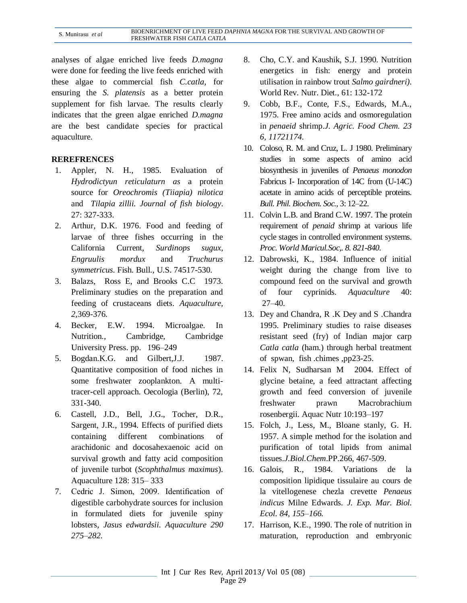analyses of algae enriched live feeds *D.magna* were done for feeding the live feeds enriched with these algae to commercial fish *C.catla,* for ensuring the *S. platensis* as a better protein supplement for fish larvae. The results clearly indicates that the green algae enriched *D.magna*  are the best candidate species for practical aquaculture.

# **REREFRENCES**

- 1. Appler, N. H., 1985. Evaluation of *Hydrodictyun reticulaturn as* a protein source for *Oreochromis (Tiiapia) nilotica*  and *Tilapia zillii. Journal of fish biology*. 27: 327-333.
- 2. Arthur, D.K. 1976. Food and feeding of larvae of three fishes occurring in the California Current, *Surdinops sugux, Engruulis mordux* and *Truchurus symmetricus.* Fish. Bull., U.S. 74517-530.
- 3. Balazs, Ross E, and Brooks C.C 1973. Preliminary studies on the preparation and feeding of crustaceans diets. *Aquaculture, 2,*369-376*.*
- 4. Becker, E.W. 1994. Microalgae. In Nutrition., Cambridge, Cambridge University Press. pp. 196–249
- 5. Bogdan.K.G. and Gilbert, J.J. 1987. Quantitative composition of food niches in some freshwater zooplankton. A multitracer-cell approach. Oecologia (Berlin), 72, 331-340.
- 6. Castell, J.D., Bell, J.G., Tocher, D.R., Sargent, J.R., 1994. Effects of purified diets containing different combinations of arachidonic and docosahexaenoic acid on survival growth and fatty acid composition of juvenile turbot (*Scophthalmus maximus*). Aquaculture 128: 315– 333
- 7. Cedric J. Simon, 2009. Identification of digestible carbohydrate sources for inclusion in formulated diets for juvenile spiny lobsters, *Jasus edwardsii. Aquaculture 290 275–282.*
- 8. Cho, C.Y. and Kaushik, S.J. 1990. Nutrition energetics in fish: energy and protein utilisation in rainbow trout *Salmo gairdneri).*  World Rev. Nutr. Diet., 61: 132-172
- 9. Cobb, B.F., Conte, F.S., Edwards, M.A., 1975. Free amino acids and osmoregulation in *penaeid* shrimp.*J. Agric. Food Chem. 23 6, 11721174.*
- 10. Coloso, R. M. and Cruz, L. J 1980. Preliminary studies in some aspects of amino acid biosynthesis in juveniles of *Penaeus monodon* Fabricus I- Incorporation of 14C from (U-14C) acetate in amino acids of perceptible proteins. *Bull. Phil. Biochem. Soc.,* 3: 12–22.
- 11. Colvin L.B. and Brand C.W. 1997. The protein requirement of *penaid s*hrimp at various life cycle stages in controlled environment systems. *Proc. World Maricul.Soc,. 8. 821-840*.
- 12. Dabrowski, K., 1984. Influence of initial weight during the change from live to compound feed on the survival and growth of four cyprinids. *Aquaculture* 40: 27–40.
- 13. Dey and Chandra, R .K Dey and S .Chandra 1995. Preliminary studies to raise diseases resistant seed (fry) of Indian major carp *Catla catla* (ham.) through herbal treatment of spwan, fish .chimes ,pp23-25.
- 14. Felix N, Sudharsan M 2004. Effect of glycine betaine, a feed attractant affecting growth and feed conversion of juvenile freshwater prawn Macrobrachium rosenbergii. Aquac Nutr 10:193–197
- 15. Folch, J., Less, M., Bloane stanly, G. H. 1957. A simple method for the isolation and purification of total lipids from animal tissues.*J.Biol.Chem*.PP.266, 467-509.
- 16. Galois, R., 1984. Variations de la composition lipidique tissulaire au cours de la vitellogenese chezla crevette *Penaeus indicus* Milne Edwards. *J. Exp. Mar. Biol. Ecol. 84, 155–166.*
- 17. Harrison, K.E., 1990. The role of nutrition in maturation, reproduction and embryonic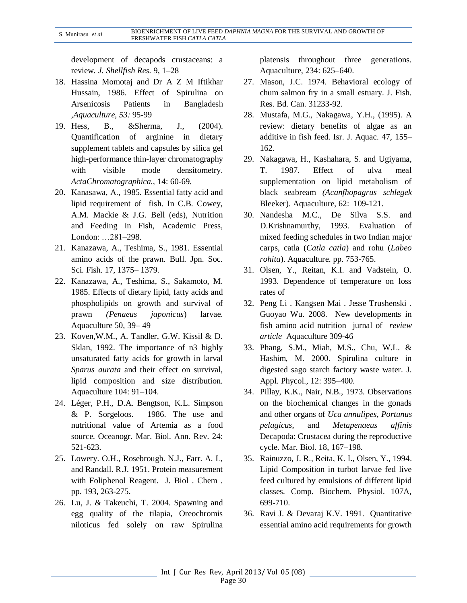development of decapods crustaceans: a review*. J. Shellfish Res.* 9, 1–28

- 18. Hassina Momotaj and Dr A Z M Iftikhar Hussain, 1986. Effect of Spirulina on Arsenicosis Patients in Bangladesh ,*Aquaculture, 53:* 95-99
- 19. Hess, B., &Sherma, J., (2004). Quantification of arginine in dietary supplement tablets and capsules by silica gel high-performance thin-layer chromatography with visible mode densitometry. *ActaChromatographica.,* 14: 60-69.
- 20. Kanasawa, A., 1985. Essential fatty acid and lipid requirement of fish. In C.B. Cowey, A.M. Mackie & J.G. Bell (eds), Nutrition and Feeding in Fish, Academic Press, London: …281–298.
- 21. Kanazawa, A., Teshima, S., 1981. Essential amino acids of the prawn. Bull. Jpn. Soc. Sci. Fish. 17, 1375– 1379.
- 22. Kanazawa, A., Teshima, S., Sakamoto, M. 1985. Effects of dietary lipid, fatty acids and phospholipids on growth and survival of prawn *(Penaeus japonicus*) larvae. Aquaculture 50, 39– 49
- 23. Koven,W.M., A. Tandler, G.W. Kissil & D. Sklan, 1992. The importance of n3 highly unsaturated fatty acids for growth in larval *Sparus aurata* and their effect on survival, lipid composition and size distribution. Aquaculture 104: 91–104.
- 24. Léger, P.H., D.A. Bengtson, K.L. Simpson & P. Sorgeloos. 1986. The use and nutritional value of Artemia as a food source. Oceanogr. Mar. Biol. Ann. Rev. 24: 521-623.
- 25. Lowery. O.H., Rosebrough. N.J., Farr. A. L, and Randall. R.J. 1951. Protein measurement with Foliphenol Reagent. J. Biol . Chem . pp. 193, 263-275.
- 26. Lu, J. & Takeuchi, T. 2004. Spawning and egg quality of the tilapia, Oreochromis niloticus fed solely on raw Spirulina

platensis throughout three generations. Aquaculture, 234: 625–640.

- 27. Mason, J.C. 1974. Behavioral ecology of chum salmon fry in a small estuary. J. Fish. Res. Bd. Can. 31233-92.
- 28. Mustafa, M.G., Nakagawa, Y.H., (1995). A review: dietary benefits of algae as an additive in fish feed. Isr. J. Aquac. 47, 155– 162.
- 29. Nakagawa, H., Kashahara, S. and Ugiyama, T. 1987. Effect of ulva meal supplementation on lipid metabolism of black seabream *(Acanfhopagrus schlegek*  Bleeker). Aquaculture, 62: 109-121.
- 30. Nandesha M.C., De Silva S.S. and D.Krishnamurthy, 1993. Evaluation of mixed feeding schedules in two Indian major carps, catla (*Catla catla*) and rohu (*Labeo rohita*). Aquaculture. pp. 753-765.
- 31. Olsen, Y., Reitan, K.I. and Vadstein, O. 1993. Dependence of temperature on loss rates of
- 32. Peng Li . Kangsen Mai . Jesse Trushenski . Guoyao Wu. 2008. New developments in fish amino acid nutrition jurnal of *review article* Aquaculture 309-46
- 33. Phang, S.M., Miah, M.S., Chu, W.L. & Hashim, M. 2000. Spirulina culture in digested sago starch factory waste water. J. Appl. Phycol., 12: 395–400.
- 34. Pillay, K.K., Nair, N.B., 1973. Observations on the biochemical changes in the gonads and other organs of *Uca annulipes, Portunus pelagicus*, and *Metapenaeus affinis* Decapoda: Crustacea during the reproductive cycle. Mar. Biol. 18, 167–198.
- 35. Rainuzzo, J. R., Reita, K. I., Olsen, Y., 1994. Lipid Composition in turbot larvae fed live feed cultured by emulsions of different lipid classes. Comp. Biochem. Physiol. 107A, 699-710.
- 36. Ravi J. & Devaraj K.V. 1991. Quantitative essential amino acid requirements for growth